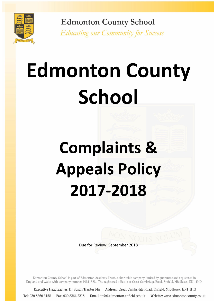

**Edmonton County School Educating our Community for Success** 

# **Edmonton County School**

# **Complaints & Appeals Policy 2017-2018**

Due for Review: September 2018

Edmonton County School is part of Edmonton Academy Trust, a charitable company limited by guarantee and registered in England and Wales with company number 10311383. The registered office is at Great Cambridge Road, Enfield, Middlesex, EN1 1HQ.

Executive Headteacher: Dr Susan Tranter MA Address: Great Cambridge Road, Enfield, Middlesex, EN1 1HQ Tel: 020 8360 3158 Fax: 020 8364 2218 Email: info@edmonton.enfield.sch.uk Website: www.edmontoncounty.co.uk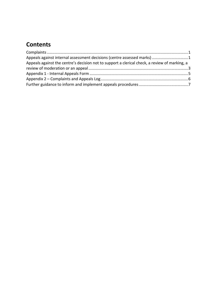## **Contents**

| Appeals against internal assessment decisions (centre assessed marks) 1                       |  |
|-----------------------------------------------------------------------------------------------|--|
| Appeals against the centre's decision not to support a clerical check, a review of marking, a |  |
|                                                                                               |  |
|                                                                                               |  |
|                                                                                               |  |
|                                                                                               |  |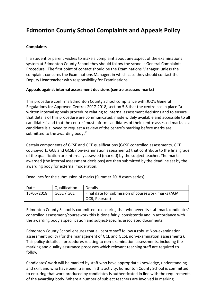### **Edmonton County School Complaints and Appeals Policy**

#### <span id="page-2-0"></span>**Complaints**

If a student or parent wishes to make a complaint about any aspect of the examinations system at Edmonton County School they should follow the school's General Complaints Procedure. The first point of contact should be the Examinations Manager, unless the complaint concerns the Examinations Manager, in which case they should contact the Deputy Headteacher with responsibility for Examinations.

#### <span id="page-2-1"></span>**Appeals against internal assessment decisions (centre assessed marks)**

This procedure confirms Edmonton County School compliance with JCQ's General Regulations for Approved Centres 2017-2018, section 5.8 that the centre has in place "a written internal appeals procedure relating to internal assessment decisions and to ensure that details of this procedure are communicated, made widely available and accessible to all candidates" and that the centre "must inform candidates of their centre assessed marks as a candidate is allowed to request a review of the centre's marking before marks are submitted to the awarding body."

Certain components of GCSE and GCE qualifications (GCSE controlled assessments, GCE coursework, GCE and GCSE non-examination assessments) that contribute to the final grade of the qualification are internally assessed (marked) by the subject teacher. The marks awarded (the internal assessment decisions) are then submitted by the deadline set by the awarding body for external moderation.

| Date       | Qualification | <b>Details</b>                                      |
|------------|---------------|-----------------------------------------------------|
| 15/05/2018 | GCSE / GCE    | Final date for submission of coursework marks (AQA, |
|            |               | OCR, Pearson)                                       |

Deadlines for the submission of marks (Summer 2018 exam series)

Edmonton County School is committed to ensuring that whenever its staff mark candidates' controlled assessment/coursework this is done fairly, consistently and in accordance with the awarding body's specification and subject-specific associated documents.

Edmonton County School ensures that all centre staff follow a robust Non-examination assessment policy (for the management of GCE and GCSE non-examination assessments). This policy details all procedures relating to non-examination assessments, including the marking and quality assurance processes which relevant teaching staff are required to follow.

Candidates' work will be marked by staff who have appropriate knowledge, understanding and skill, and who have been trained in this activity. Edmonton County School is committed to ensuring that work produced by candidates is authenticated in line with the requirements of the awarding body. Where a number of subject teachers are involved in marking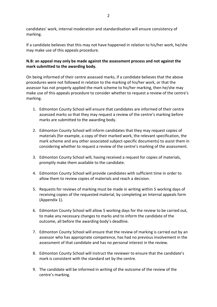candidates' work, internal moderation and standardisation will ensure consistency of marking.

If a candidate believes that this may not have happened in relation to his/her work, he/she may make use of this appeals procedure.

#### **N.B: an appeal may only be made against the assessment process and not against the mark submitted to the awarding body.**

On being informed of their centre assessed marks, if a candidate believes that the above procedures were not followed in relation to the marking of his/her work, or that the assessor has not properly applied the mark scheme to his/her marking, then he/she may make use of this appeals procedure to consider whether to request a review of the centre's marking.

- 1. Edmonton County School will ensure that candidates are informed of their centre assessed marks so that they may request a review of the centre's marking before marks are submitted to the awarding body.
- 2. Edmonton County School will inform candidates that they may request copies of materials (for example, a copy of their marked work, the relevant specification, the mark scheme and any other associated subject-specific documents) to assist them in considering whether to request a review of the centre's marking of the assessment.
- 3. Edmonton County School will, having received a request for copies of materials, promptly make them available to the candidate.
- 4. Edmonton County School will provide candidates with sufficient time in order to allow them to review copies of materials and reach a decision.
- 5. Requests for reviews of marking must be made in writing within 5 working days of receiving copies of the requested material, by completing an Internal appeals form (Appendix 1).
- 6. Edmonton County School will allow 5 working days for the review to be carried out, to make any necessary changes to marks and to inform the candidate of the outcome, all before the awarding body's deadline.
- 7. Edmonton County School will ensure that the review of marking is carried out by an assessor who has appropriate competence, has had no previous involvement in the assessment of that candidate and has no personal interest in the review.
- 8. Edmonton County School will instruct the reviewer to ensure that the candidate's mark is consistent with the standard set by the centre.
- 9. The candidate will be informed in writing of the outcome of the review of the centre's marking.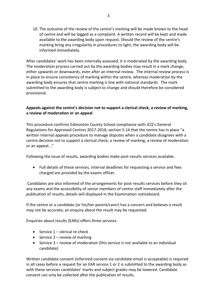10. The outcome of the review of the centre's marking will be made known to the head of centre and will be logged as a complaint. A written record will be kept and made available to the awarding body upon request. Should the review of the centre's marking bring any irregularity in procedures to light, the awarding body will be informed immediately.

After candidates' work has been internally assessed, it is moderated by the awarding body. The moderation process carried out by the awarding bodies may result in a mark change, either upwards or downwards, even after an internal review. The internal review process is in place to ensure consistency of marking within the centre, whereas moderation by the awarding body ensures that centre marking is line with national standards. The mark submitted to the awarding body is subject to change and should therefore be considered provisional.

#### <span id="page-4-0"></span>**Appeals against the centre's decision not to support a clerical check, a review of marking, a review of moderation or an appeal**

This procedure confirms Edmonton County School compliance with JCQ's General Regulations for Approved Centres 2017-2018, section 5.14 that the centre has in place "a written internal appeals procedure to manage disputes when a candidate disagrees with a centre decision not to support a clerical check, a review of marking, a review of moderation or an appeal..."

Following the issue of results, awarding bodies make post-results services available.

 Full details of these services, internal deadlines for requesting a service and fees charged are provided by the exams officer.

Candidates are also informed of the arrangements for post-results services before they sit any exams and the accessibility of senior members of centre staff immediately after the publication of results, details will displayed in the Examination noticeboard.

If the centre or a candidate (or his/her parent/carer) has a concern and believes a result may not be accurate, an enquiry about the result may be requested.

Enquiries about results (EARs) offers three services.

- $\bullet$  Service 1 clerical re-check
- Service  $2$  review of marking
- $\bullet$  Service 3 review of moderation (this service is not available to an individual candidate)

Written candidate consent (informed consent via candidate email is acceptable) is required in all cases before a request for an EAR service 1 or 2 is submitted to the awarding body as with these services candidates' marks and subject grades may be lowered. Candidate consent can only be collected after the publication of results.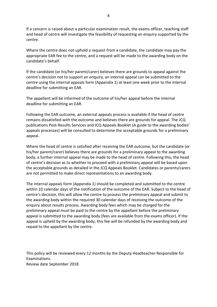If a concern is raised about a particular examination result, the exams officer, teaching staff and head of centre will investigate the feasibility of requesting an enquiry supported by the centre.

Where the centre does not uphold a request from a candidate, the candidate may pay the appropriate EAR fee to the centre, and a request will be made to the awarding body on the candidate's behalf.

If the candidate (or his/her parent/carer) believes there are grounds to appeal against the centre's decision not to support an enquiry, an internal appeal can be submitted to the centre using the internal appeals form (Appendix 1) at least one week prior to the internal deadline for submitting an EAR.

The appellant will be informed of the outcome of his/her appeal before the internal deadline for submitting an EAR.

Following the EAR outcome, an external appeals process is available if the head of centre remains dissatisfied with the outcome and believes there are grounds for appeal. The JCQ publications Post-Results Services and JCQ Appeals Booklet (A guide to the awarding bodies' appeals processes) will be consulted to determine the acceptable grounds for a preliminary appeal.

Where the head of centre is satisfied after receiving the EAR outcome, but the candidate (or his/her parent/carer) believes there are grounds for a preliminary appeal to the awarding body, a further internal appeal may be made to the head of centre. Following this, the head of centre's decision as to whether to proceed with a preliminary appeal will be based upon the acceptable grounds as detailed in the JCQ Appeals Booklet. Candidates or parents/carers are not permitted to make direct representations to an awarding body.

The internal appeals form (Appendix 1) should be completed and submitted to the centre within 10 calendar days of the notification of the outcome of the EAR. Subject to the head of centre's decision, this will allow the centre to process the preliminary appeal and submit to the awarding body within the required 30 calendar days of receiving the outcome of the enquiry about results process. Awarding body fees which may be charged for the preliminary appeal must be paid to the centre by the appellant before the preliminary appeal is submitted to the awarding body (fees are available from the exams officer). If the appeal is upheld by the awarding body, this fee will be refunded by the awarding body and repaid to the appellant by the centre.

This policy will be reviewed every 12 months by the Deputy Headteacher Responsible for Examinations. Review date September 2018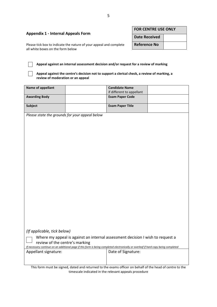<span id="page-6-0"></span>

| <b>Appendix 1 - Internal Appeals Form</b>                                                               | <b>FOR CENTRE USE ONLY</b> |  |
|---------------------------------------------------------------------------------------------------------|----------------------------|--|
|                                                                                                         | <b>Date Received</b>       |  |
| Please tick box to indicate the nature of your appeal and complete<br>all white boxes on the form below | <b>Reference No</b>        |  |
|                                                                                                         |                            |  |

**Appeal against an internal assessment decision and/or request for a review of marking**

**Appeal against the centre's decision not to support a clerical check, a review of marking, a review of moderation or an appeal**

| <b>Name of appellant</b>                                                                                                            |  | <b>Candidate Name</b><br>if different to appellant |  |
|-------------------------------------------------------------------------------------------------------------------------------------|--|----------------------------------------------------|--|
| <b>Awarding Body</b>                                                                                                                |  | <b>Exam Paper Code</b>                             |  |
| <b>Subject</b>                                                                                                                      |  | <b>Exam Paper Title</b>                            |  |
| Please state the grounds for your appeal below                                                                                      |  |                                                    |  |
|                                                                                                                                     |  |                                                    |  |
|                                                                                                                                     |  |                                                    |  |
|                                                                                                                                     |  |                                                    |  |
|                                                                                                                                     |  |                                                    |  |
|                                                                                                                                     |  |                                                    |  |
|                                                                                                                                     |  |                                                    |  |
|                                                                                                                                     |  |                                                    |  |
|                                                                                                                                     |  |                                                    |  |
|                                                                                                                                     |  |                                                    |  |
|                                                                                                                                     |  |                                                    |  |
|                                                                                                                                     |  |                                                    |  |
|                                                                                                                                     |  |                                                    |  |
|                                                                                                                                     |  |                                                    |  |
|                                                                                                                                     |  |                                                    |  |
|                                                                                                                                     |  |                                                    |  |
| (If applicable, tick below)                                                                                                         |  |                                                    |  |
| Where my appeal is against an internal assessment decision I wish to request a<br>review of the centre's marking                    |  |                                                    |  |
| If necessary continue on an additional page if this form is being completed electronically or overleaf if hard copy being completed |  |                                                    |  |
| Appellant signature:                                                                                                                |  | Date of Signature:                                 |  |
|                                                                                                                                     |  |                                                    |  |

This form must be signed, dated and returned to the exams officer on behalf of the head of centre to the timescale indicated in the relevant appeals procedure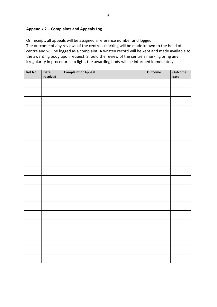#### <span id="page-7-0"></span>**Appendix 2 – Complaints and Appeals Log**

On receipt, all appeals will be assigned a reference number and logged. The outcome of any reviews of the centre's marking will be made known to the head of centre and will be logged as a complaint. A written record will be kept and made available to the awarding body upon request. Should the review of the centre's marking bring any irregularity in procedures to light, the awarding body will be informed immediately.

| Ref No. | Date     | <b>Complaint or Appeal</b> | <b>Outcome</b> | Outcome |
|---------|----------|----------------------------|----------------|---------|
|         | received |                            |                | date    |
|         |          |                            |                |         |
|         |          |                            |                |         |
|         |          |                            |                |         |
|         |          |                            |                |         |
|         |          |                            |                |         |
|         |          |                            |                |         |
|         |          |                            |                |         |
|         |          |                            |                |         |
|         |          |                            |                |         |
|         |          |                            |                |         |
|         |          |                            |                |         |
|         |          |                            |                |         |
|         |          |                            |                |         |
|         |          |                            |                |         |
|         |          |                            |                |         |
|         |          |                            |                |         |
|         |          |                            |                |         |
|         |          |                            |                |         |
|         |          |                            |                |         |
|         |          |                            |                |         |
|         |          |                            |                |         |